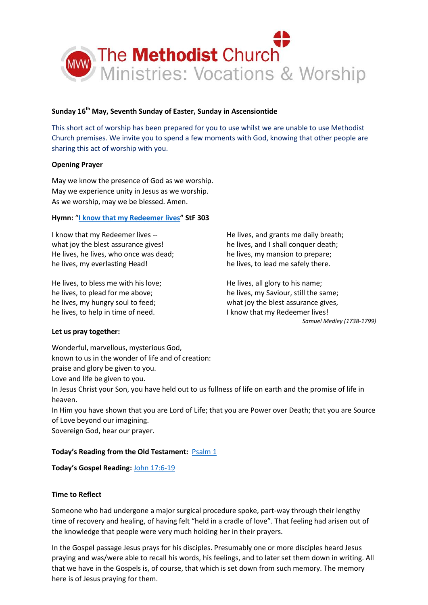

### **Sunday 16th May, Seventh Sunday of Easter, Sunday in Ascensiontide**

This short act of worship has been prepared for you to use whilst we are unable to use Methodist Church premises. We invite you to spend a few moments with God, knowing that other people are sharing this act of worship with you.

### **Opening Prayer**

May we know the presence of God as we worship. May we experience unity in Jesus as we worship. As we worship, may we be blessed. Amen.

### **Hymn:** "**[I know that my Redeemer lives](https://www.youtube.com/watch?v=UFk_kbojDg8)" StF 303**

I know that my Redeemer lives - what joy the blest assurance gives! He lives, he lives, who once was dead; he lives, my everlasting Head!

He lives, to bless me with his love; he lives, to plead for me above; he lives, my hungry soul to feed; he lives, to help in time of need.

He lives, and grants me daily breath; he lives, and I shall conquer death; he lives, my mansion to prepare; he lives, to lead me safely there.

He lives, all glory to his name; he lives, my Saviour, still the same; what joy the blest assurance gives, I know that my Redeemer lives! *Samuel Medley (1738-1799)*

### **Let us pray together:**

Wonderful, marvellous, mysterious God, known to us in the wonder of life and of creation:

praise and glory be given to you.

Love and life be given to you.

In Jesus Christ your Son, you have held out to us fullness of life on earth and the promise of life in heaven.

In Him you have shown that you are Lord of Life; that you are Power over Death; that you are Source of Love beyond our imagining.

Sovereign God, hear our prayer.

## **Today's Reading from the Old Testament:** [Psalm 1](https://www.biblegateway.com/passage/?search=Psalm+1&version=NIV)

**Today's Gospel Reading:** [John 17:6-19](https://www.biblegateway.com/passage/?search=John+17%3A6-19+&version=NIV)

### **Time to Reflect**

Someone who had undergone a major surgical procedure spoke, part-way through their lengthy time of recovery and healing, of having felt "held in a cradle of love". That feeling had arisen out of the knowledge that people were very much holding her in their prayers.

In the Gospel passage Jesus prays for his disciples. Presumably one or more disciples heard Jesus praying and was/were able to recall his words, his feelings, and to later set them down in writing. All that we have in the Gospels is, of course, that which is set down from such memory. The memory here is of Jesus praying for them.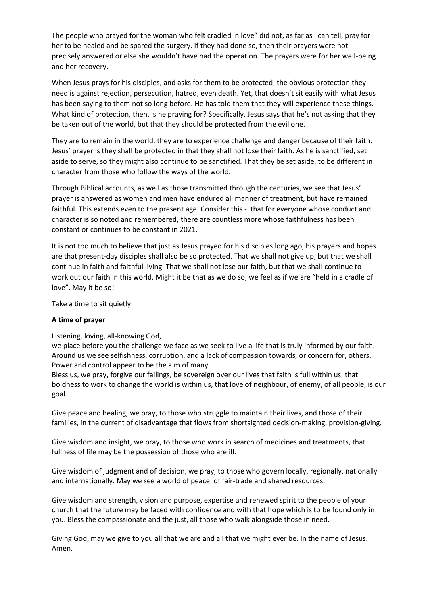The people who prayed for the woman who felt cradled in love" did not, as far as I can tell, pray for her to be healed and be spared the surgery. If they had done so, then their prayers were not precisely answered or else she wouldn't have had the operation. The prayers were for her well-being and her recovery.

When Jesus prays for his disciples, and asks for them to be protected, the obvious protection they need is against rejection, persecution, hatred, even death. Yet, that doesn't sit easily with what Jesus has been saying to them not so long before. He has told them that they will experience these things. What kind of protection, then, is he praying for? Specifically, Jesus says that he's not asking that they be taken out of the world, but that they should be protected from the evil one.

They are to remain in the world, they are to experience challenge and danger because of their faith. Jesus' prayer is they shall be protected in that they shall not lose their faith. As he is sanctified, set aside to serve, so they might also continue to be sanctified. That they be set aside, to be different in character from those who follow the ways of the world.

Through Biblical accounts, as well as those transmitted through the centuries, we see that Jesus' prayer is answered as women and men have endured all manner of treatment, but have remained faithful. This extends even to the present age. Consider this - that for everyone whose conduct and character is so noted and remembered, there are countless more whose faithfulness has been constant or continues to be constant in 2021.

It is not too much to believe that just as Jesus prayed for his disciples long ago, his prayers and hopes are that present-day disciples shall also be so protected. That we shall not give up, but that we shall continue in faith and faithful living. That we shall not lose our faith, but that we shall continue to work out our faith in this world. Might it be that as we do so, we feel as if we are "held in a cradle of love". May it be so!

Take a time to sit quietly

### **A time of prayer**

Listening, loving, all-knowing God,

we place before you the challenge we face as we seek to live a life that is truly informed by our faith. Around us we see selfishness, corruption, and a lack of compassion towards, or concern for, others. Power and control appear to be the aim of many.

Bless us, we pray, forgive our failings, be sovereign over our lives that faith is full within us, that boldness to work to change the world is within us, that love of neighbour, of enemy, of all people, is our goal.

Give peace and healing, we pray, to those who struggle to maintain their lives, and those of their families, in the current of disadvantage that flows from shortsighted decision-making, provision-giving.

Give wisdom and insight, we pray, to those who work in search of medicines and treatments, that fullness of life may be the possession of those who are ill.

Give wisdom of judgment and of decision, we pray, to those who govern locally, regionally, nationally and internationally. May we see a world of peace, of fair-trade and shared resources.

Give wisdom and strength, vision and purpose, expertise and renewed spirit to the people of your church that the future may be faced with confidence and with that hope which is to be found only in you. Bless the compassionate and the just, all those who walk alongside those in need.

Giving God, may we give to you all that we are and all that we might ever be. In the name of Jesus. Amen.